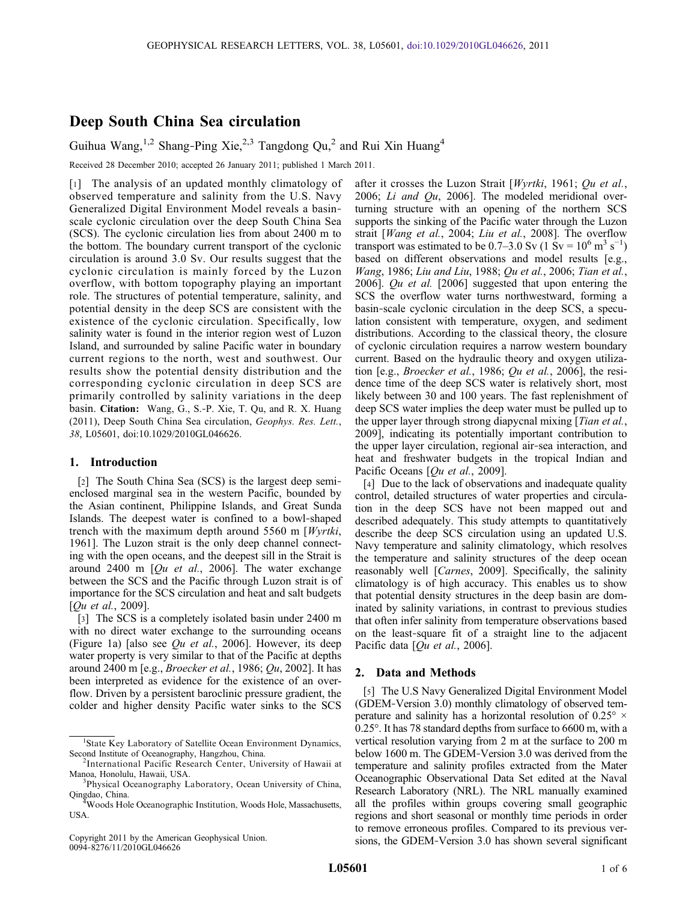# Deep South China Sea circulation

Guihua Wang,<sup>1,2</sup> Shang-Ping Xie,<sup>2,3</sup> Tangdong Qu<sub>1</sub><sup>2</sup> and Rui Xin Huang<sup>4</sup>

Received 28 December 2010; accepted 26 January 2011; published 1 March 2011.

[1] The analysis of an updated monthly climatology of observed temperature and salinity from the U.S. Navy Generalized Digital Environment Model reveals a basin‐ scale cyclonic circulation over the deep South China Sea (SCS). The cyclonic circulation lies from about 2400 m to the bottom. The boundary current transport of the cyclonic circulation is around 3.0 Sv. Our results suggest that the cyclonic circulation is mainly forced by the Luzon overflow, with bottom topography playing an important role. The structures of potential temperature, salinity, and potential density in the deep SCS are consistent with the existence of the cyclonic circulation. Specifically, low salinity water is found in the interior region west of Luzon Island, and surrounded by saline Pacific water in boundary current regions to the north, west and southwest. Our results show the potential density distribution and the corresponding cyclonic circulation in deep SCS are primarily controlled by salinity variations in the deep basin. Citation: Wang, G., S.‐P. Xie, T. Qu, and R. X. Huang (2011), Deep South China Sea circulation, Geophys. Res. Lett., 38, L05601, doi:10.1029/2010GL046626.

## 1. Introduction

[2] The South China Sea (SCS) is the largest deep semi‐ enclosed marginal sea in the western Pacific, bounded by the Asian continent, Philippine Islands, and Great Sunda Islands. The deepest water is confined to a bowl‐shaped trench with the maximum depth around 5560 m [Wyrtki, 1961]. The Luzon strait is the only deep channel connecting with the open oceans, and the deepest sill in the Strait is around 2400 m  $[Qu et al., 2006]$ . The water exchange between the SCS and the Pacific through Luzon strait is of importance for the SCS circulation and heat and salt budgets [*Qu et al.*, 2009].

[3] The SCS is a completely isolated basin under 2400 m with no direct water exchange to the surrounding oceans (Figure 1a) [also see  $Qu$  et al., 2006]. However, its deep water property is very similar to that of the Pacific at depths around 2400 m [e.g., *Broecker et al.*, 1986;  $Qu$ , 2002]. It has been interpreted as evidence for the existence of an overflow. Driven by a persistent baroclinic pressure gradient, the colder and higher density Pacific water sinks to the SCS

Copyright 2011 by the American Geophysical Union. 0094‐8276/11/2010GL046626

after it crosses the Luzon Strait [Wyrtki, 1961; Qu et al., 2006; Li and Qu, 2006]. The modeled meridional overturning structure with an opening of the northern SCS supports the sinking of the Pacific water through the Luzon strait [Wang et al., 2004; Liu et al., 2008]. The overflow transport was estimated to be  $0.7-3.0$  Sv  $(1 \text{ Sv} = 10^6 \text{ m}^3 \text{ s}^{-1})$ based on different observations and model results [e.g., Wang, 1986; Liu and Liu, 1988; Qu et al., 2006; Tian et al., 2006]. Qu et al.  $[2006]$  suggested that upon entering the SCS the overflow water turns northwestward, forming a basin‐scale cyclonic circulation in the deep SCS, a speculation consistent with temperature, oxygen, and sediment distributions. According to the classical theory, the closure of cyclonic circulation requires a narrow western boundary current. Based on the hydraulic theory and oxygen utilization [e.g., Broecker et al., 1986; Qu et al., 2006], the residence time of the deep SCS water is relatively short, most likely between 30 and 100 years. The fast replenishment of deep SCS water implies the deep water must be pulled up to the upper layer through strong diapycnal mixing [Tian et al., 2009], indicating its potentially important contribution to the upper layer circulation, regional air‐sea interaction, and heat and freshwater budgets in the tropical Indian and Pacific Oceans [*Qu et al.*, 2009].

[4] Due to the lack of observations and inadequate quality control, detailed structures of water properties and circulation in the deep SCS have not been mapped out and described adequately. This study attempts to quantitatively describe the deep SCS circulation using an updated U.S. Navy temperature and salinity climatology, which resolves the temperature and salinity structures of the deep ocean reasonably well [Carnes, 2009]. Specifically, the salinity climatology is of high accuracy. This enables us to show that potential density structures in the deep basin are dominated by salinity variations, in contrast to previous studies that often infer salinity from temperature observations based on the least‐square fit of a straight line to the adjacent Pacific data  $[Qu et al., 2006]$ .

### 2. Data and Methods

[5] The U.S Navy Generalized Digital Environment Model (GDEM‐Version 3.0) monthly climatology of observed temperature and salinity has a horizontal resolution of  $0.25^{\circ} \times$ 0.25°. It has 78 standard depths from surface to 6600 m, with a vertical resolution varying from 2 m at the surface to 200 m below 1600 m. The GDEM‐Version 3.0 was derived from the temperature and salinity profiles extracted from the Mater Oceanographic Observational Data Set edited at the Naval Research Laboratory (NRL). The NRL manually examined all the profiles within groups covering small geographic regions and short seasonal or monthly time periods in order to remove erroneous profiles. Compared to its previous versions, the GDEM‐Version 3.0 has shown several significant

<sup>&</sup>lt;sup>1</sup>State Key Laboratory of Satellite Ocean Environment Dynamics, Second Institute of Oceanography, Hangzhou, China. <sup>2</sup>

<sup>&</sup>lt;sup>2</sup>International Pacific Research Center, University of Hawaii at Manoa, Honolulu, Hawaii, USA. <sup>3</sup> <sup>3</sup>Physical Oceanography Laboratory, Ocean University of China,

Qingdao, China. <sup>4</sup> Woods Hole Oceanographic Institution, Woods Hole, Massachusetts,

USA.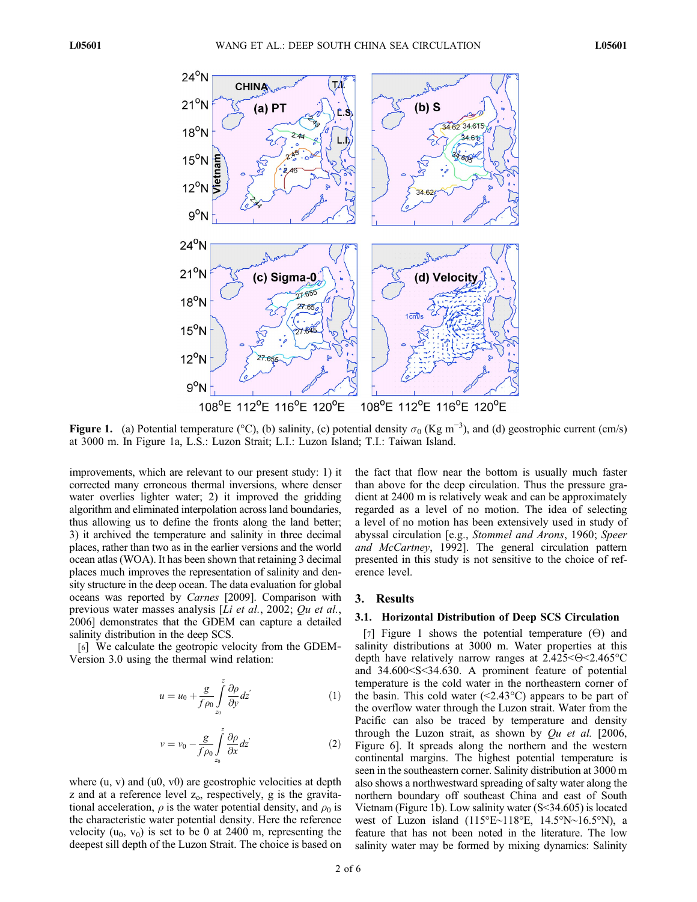

Figure 1. (a) Potential temperature (°C), (b) salinity, (c) potential density  $\sigma_0$  (Kg m<sup>-3</sup>), and (d) geostrophic current (cm/s) at 3000 m. In Figure 1a, L.S.: Luzon Strait; L.I.: Luzon Island; T.I.: Taiwan Island.

improvements, which are relevant to our present study: 1) it corrected many erroneous thermal inversions, where denser water overlies lighter water; 2) it improved the gridding algorithm and eliminated interpolation across land boundaries, thus allowing us to define the fronts along the land better; 3) it archived the temperature and salinity in three decimal places, rather than two as in the earlier versions and the world ocean atlas (WOA). It has been shown that retaining 3 decimal places much improves the representation of salinity and density structure in the deep ocean. The data evaluation for global oceans was reported by Carnes [2009]. Comparison with previous water masses analysis [Li et al., 2002; Qu et al., 2006] demonstrates that the GDEM can capture a detailed salinity distribution in the deep SCS.

[6] We calculate the geotropic velocity from the GDEM‐ Version 3.0 using the thermal wind relation:

$$
u = u_0 + \frac{g}{f \rho_0} \int_{z_0}^{z} \frac{\partial \rho}{\partial y} dz' \tag{1}
$$

$$
v = v_0 - \frac{g}{f \rho_0} \int_{z_0}^{z} \frac{\partial \rho}{\partial x} dz' \tag{2}
$$

where  $(u, v)$  and  $(u0, v0)$  are geostrophic velocities at depth  $z$  and at a reference level  $z_0$ , respectively,  $g$  is the gravitational acceleration,  $\rho$  is the water potential density, and  $\rho_0$  is the characteristic water potential density. Here the reference velocity  $(u_0, v_0)$  is set to be 0 at 2400 m, representing the deepest sill depth of the Luzon Strait. The choice is based on

the fact that flow near the bottom is usually much faster than above for the deep circulation. Thus the pressure gradient at 2400 m is relatively weak and can be approximately regarded as a level of no motion. The idea of selecting a level of no motion has been extensively used in study of abyssal circulation [e.g., Stommel and Arons, 1960; Speer and McCartney, 1992]. The general circulation pattern presented in this study is not sensitive to the choice of reference level.

## 3. Results

### 3.1. Horizontal Distribution of Deep SCS Circulation

[7] Figure 1 shows the potential temperature  $(\Theta)$  and salinity distributions at 3000 m. Water properties at this depth have relatively narrow ranges at  $2.425<\Theta<2.465^{\circ}\text{C}$ and 34.600<S<34.630. A prominent feature of potential temperature is the cold water in the northeastern corner of the basin. This cold water  $(\leq 2.43^{\circ}C)$  appears to be part of the overflow water through the Luzon strait. Water from the Pacific can also be traced by temperature and density through the Luzon strait, as shown by  $Qu$  et al. [2006, Figure 6]. It spreads along the northern and the western continental margins. The highest potential temperature is seen in the southeastern corner. Salinity distribution at 3000 m also shows a northwestward spreading of salty water along the northern boundary off southeast China and east of South Vietnam (Figure 1b). Low salinity water (S<34.605) is located west of Luzon island (115°E∼118°E, 14.5°N∼16.5°N), a feature that has not been noted in the literature. The low salinity water may be formed by mixing dynamics: Salinity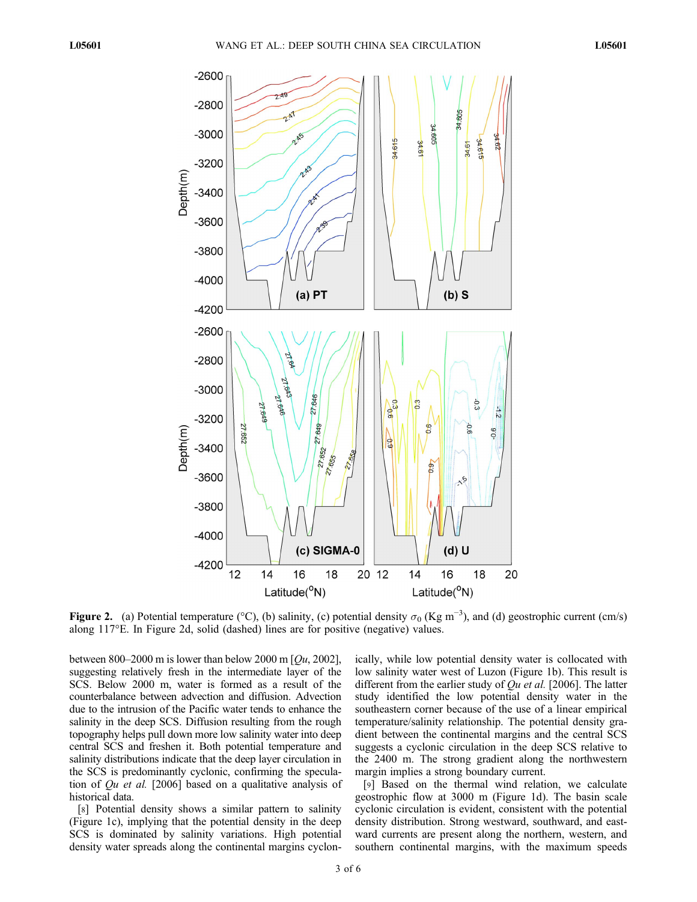

Figure 2. (a) Potential temperature (°C), (b) salinity, (c) potential density  $\sigma_0$  (Kg m<sup>-3</sup>), and (d) geostrophic current (cm/s) along 117°E. In Figure 2d, solid (dashed) lines are for positive (negative) values.

between 800–2000 m is lower than below 2000 m  $[Qu, 2002]$ , suggesting relatively fresh in the intermediate layer of the SCS. Below 2000 m, water is formed as a result of the counterbalance between advection and diffusion. Advection due to the intrusion of the Pacific water tends to enhance the salinity in the deep SCS. Diffusion resulting from the rough topography helps pull down more low salinity water into deep central SCS and freshen it. Both potential temperature and salinity distributions indicate that the deep layer circulation in the SCS is predominantly cyclonic, confirming the speculation of Qu et al. [2006] based on a qualitative analysis of historical data.

[8] Potential density shows a similar pattern to salinity (Figure 1c), implying that the potential density in the deep SCS is dominated by salinity variations. High potential density water spreads along the continental margins cyclonically, while low potential density water is collocated with low salinity water west of Luzon (Figure 1b). This result is different from the earlier study of  $Qu$  *et al.* [2006]. The latter study identified the low potential density water in the southeastern corner because of the use of a linear empirical temperature/salinity relationship. The potential density gradient between the continental margins and the central SCS suggests a cyclonic circulation in the deep SCS relative to the 2400 m. The strong gradient along the northwestern margin implies a strong boundary current.

[9] Based on the thermal wind relation, we calculate geostrophic flow at 3000 m (Figure 1d). The basin scale cyclonic circulation is evident, consistent with the potential density distribution. Strong westward, southward, and eastward currents are present along the northern, western, and southern continental margins, with the maximum speeds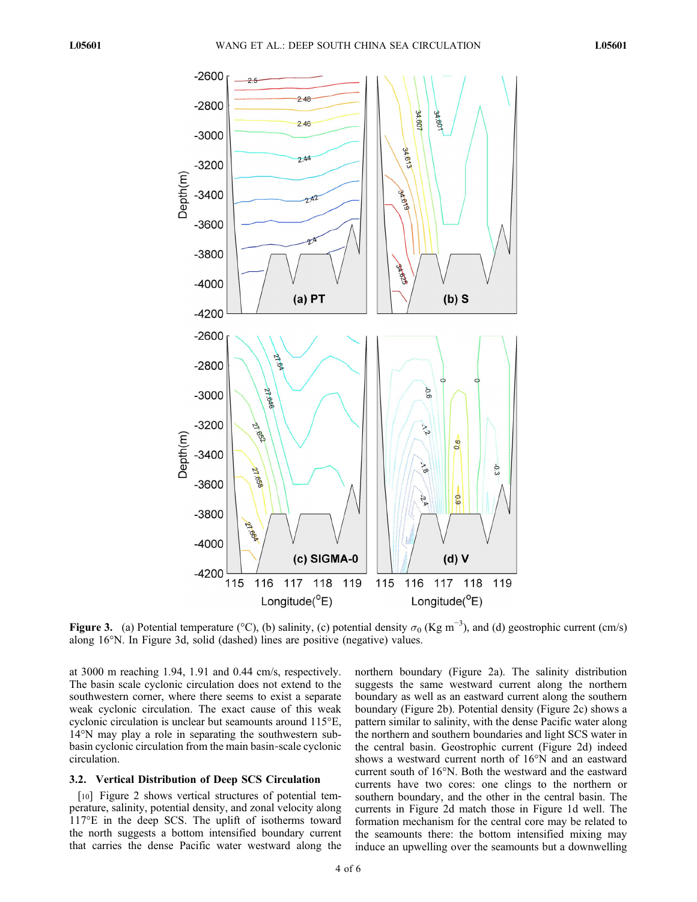

Figure 3. (a) Potential temperature (°C), (b) salinity, (c) potential density  $\sigma_0$  (Kg m<sup>-3</sup>), and (d) geostrophic current (cm/s) along 16°N. In Figure 3d, solid (dashed) lines are positive (negative) values.

at 3000 m reaching 1.94, 1.91 and 0.44 cm/s, respectively. The basin scale cyclonic circulation does not extend to the southwestern corner, where there seems to exist a separate weak cyclonic circulation. The exact cause of this weak cyclonic circulation is unclear but seamounts around 115°E, 14°N may play a role in separating the southwestern subbasin cyclonic circulation from the main basin‐scale cyclonic circulation.

## 3.2. Vertical Distribution of Deep SCS Circulation

[10] Figure 2 shows vertical structures of potential temperature, salinity, potential density, and zonal velocity along 117°E in the deep SCS. The uplift of isotherms toward the north suggests a bottom intensified boundary current that carries the dense Pacific water westward along the

northern boundary (Figure 2a). The salinity distribution suggests the same westward current along the northern boundary as well as an eastward current along the southern boundary (Figure 2b). Potential density (Figure 2c) shows a pattern similar to salinity, with the dense Pacific water along the northern and southern boundaries and light SCS water in the central basin. Geostrophic current (Figure 2d) indeed shows a westward current north of 16°N and an eastward current south of 16°N. Both the westward and the eastward currents have two cores: one clings to the northern or southern boundary, and the other in the central basin. The currents in Figure 2d match those in Figure 1d well. The formation mechanism for the central core may be related to the seamounts there: the bottom intensified mixing may induce an upwelling over the seamounts but a downwelling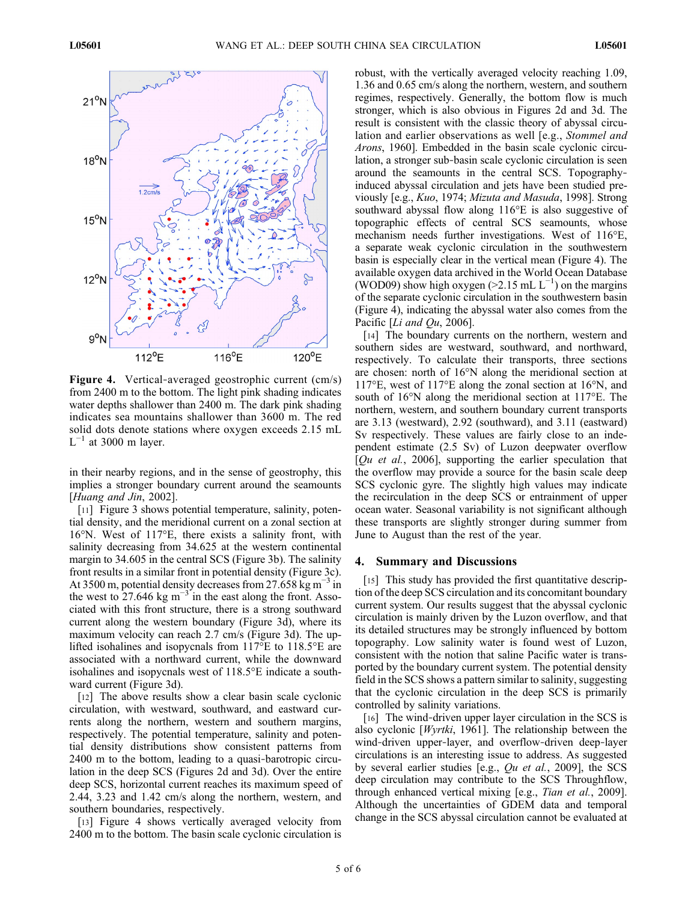

Figure 4. Vertical-averaged geostrophic current (cm/s) from 2400 m to the bottom. The light pink shading indicates water depths shallower than 2400 m. The dark pink shading indicates sea mountains shallower than 3600 m. The red solid dots denote stations where oxygen exceeds 2.15 mL  $L^{-1}$  at 3000 m layer.

in their nearby regions, and in the sense of geostrophy, this implies a stronger boundary current around the seamounts [Huang and Jin, 2002].

[11] Figure 3 shows potential temperature, salinity, potential density, and the meridional current on a zonal section at 16°N. West of 117°E, there exists a salinity front, with salinity decreasing from 34.625 at the western continental margin to 34.605 in the central SCS (Figure 3b). The salinity front results in a similar front in potential density (Figure 3c). At 3500 m, potential density decreases from 27.658 kg m<sup>-3</sup> in the west to 27.646 kg m<sup>-3</sup> in the east along the front. Associated with this front structure, there is a strong southward current along the western boundary (Figure 3d), where its maximum velocity can reach 2.7 cm/s (Figure 3d). The uplifted isohalines and isopycnals from 117°E to 118.5°E are associated with a northward current, while the downward isohalines and isopycnals west of 118.5°E indicate a southward current (Figure 3d).

[12] The above results show a clear basin scale cyclonic circulation, with westward, southward, and eastward currents along the northern, western and southern margins, respectively. The potential temperature, salinity and potential density distributions show consistent patterns from 2400 m to the bottom, leading to a quasi‐barotropic circulation in the deep SCS (Figures 2d and 3d). Over the entire deep SCS, horizontal current reaches its maximum speed of 2.44, 3.23 and 1.42 cm/s along the northern, western, and southern boundaries, respectively.

[13] Figure 4 shows vertically averaged velocity from 2400 m to the bottom. The basin scale cyclonic circulation is robust, with the vertically averaged velocity reaching 1.09, 1.36 and 0.65 cm/s along the northern, western, and southern regimes, respectively. Generally, the bottom flow is much stronger, which is also obvious in Figures 2d and 3d. The result is consistent with the classic theory of abyssal circulation and earlier observations as well [e.g., Stommel and Arons, 1960]. Embedded in the basin scale cyclonic circulation, a stronger sub‐basin scale cyclonic circulation is seen around the seamounts in the central SCS. Topography‐ induced abyssal circulation and jets have been studied previously [e.g., Kuo, 1974; Mizuta and Masuda, 1998]. Strong southward abyssal flow along 116°E is also suggestive of topographic effects of central SCS seamounts, whose mechanism needs further investigations. West of 116°E, a separate weak cyclonic circulation in the southwestern basin is especially clear in the vertical mean (Figure 4). The available oxygen data archived in the World Ocean Database (WOD09) show high oxygen (>2.15 mL  $L^{-1}$ ) on the margins of the separate cyclonic circulation in the southwestern basin (Figure 4), indicating the abyssal water also comes from the Pacific [ $Li$  and  $Qu$ , 2006].

[14] The boundary currents on the northern, western and southern sides are westward, southward, and northward, respectively. To calculate their transports, three sections are chosen: north of 16°N along the meridional section at 117°E, west of 117°E along the zonal section at 16°N, and south of 16°N along the meridional section at 117°E. The northern, western, and southern boundary current transports are 3.13 (westward), 2.92 (southward), and 3.11 (eastward) Sv respectively. These values are fairly close to an independent estimate (2.5 Sv) of Luzon deepwater overflow  $[Qu et al., 2006]$ , supporting the earlier speculation that the overflow may provide a source for the basin scale deep SCS cyclonic gyre. The slightly high values may indicate the recirculation in the deep SCS or entrainment of upper ocean water. Seasonal variability is not significant although these transports are slightly stronger during summer from June to August than the rest of the year.

### 4. Summary and Discussions

[15] This study has provided the first quantitative description of the deep SCS circulation and its concomitant boundary current system. Our results suggest that the abyssal cyclonic circulation is mainly driven by the Luzon overflow, and that its detailed structures may be strongly influenced by bottom topography. Low salinity water is found west of Luzon, consistent with the notion that saline Pacific water is transported by the boundary current system. The potential density field in the SCS shows a pattern similar to salinity, suggesting that the cyclonic circulation in the deep SCS is primarily controlled by salinity variations.

[16] The wind‐driven upper layer circulation in the SCS is also cyclonic [Wyrtki, 1961]. The relationship between the wind-driven upper-layer, and overflow-driven deep-layer circulations is an interesting issue to address. As suggested by several earlier studies [e.g., Qu et al., 2009], the SCS deep circulation may contribute to the SCS Throughflow, through enhanced vertical mixing [e.g., Tian et al., 2009]. Although the uncertainties of GDEM data and temporal change in the SCS abyssal circulation cannot be evaluated at